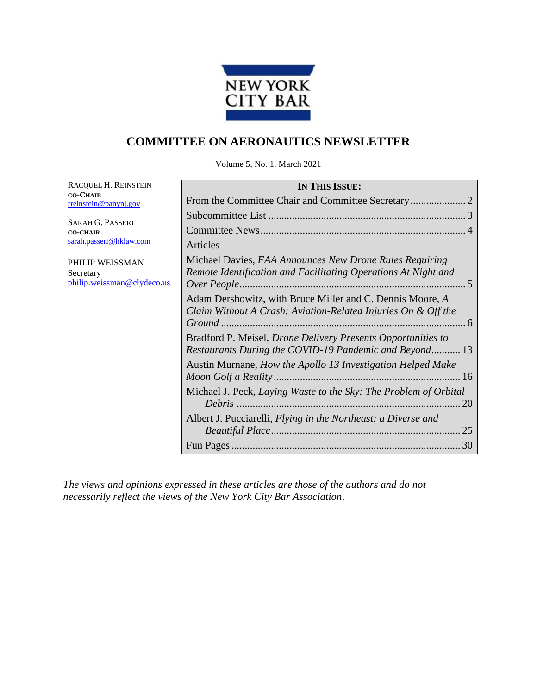

## **COMMITTEE ON AERONAUTICS NEWSLETTER**

Volume 5, No. 1, March 2021

RACQUEL H. REINSTEIN **CO-CHAIR** [rreinstein@panynj.gov](mailto:rreinstein@panynj.gov)

SARAH G. PASSERI **CO-CHAIR** [sarah.passeri@hklaw.com](mailto:sarah.passeri@hklaw.com)

PHILIP WEISSMAN Secretary [philip.weissman@clydeco.us](mailto:philip.weissman@clydeco.us)

| <b>IN THIS ISSUE:</b>                                                                                                      |
|----------------------------------------------------------------------------------------------------------------------------|
|                                                                                                                            |
|                                                                                                                            |
|                                                                                                                            |
| <u>Articles</u>                                                                                                            |
| Michael Davies, FAA Announces New Drone Rules Requiring<br>Remote Identification and Facilitating Operations At Night and  |
| Adam Dershowitz, with Bruce Miller and C. Dennis Moore, A<br>Claim Without A Crash: Aviation-Related Injuries On & Off the |
| Bradford P. Meisel, Drone Delivery Presents Opportunities to<br>Restaurants During the COVID-19 Pandemic and Beyond 13     |
| Austin Murnane, How the Apollo 13 Investigation Helped Make                                                                |
| Michael J. Peck, Laying Waste to the Sky: The Problem of Orbital                                                           |
| Albert J. Pucciarelli, Flying in the Northeast: a Diverse and                                                              |
|                                                                                                                            |

*The views and opinions expressed in these articles are those of the authors and do not necessarily reflect the views of the New York City Bar Association*.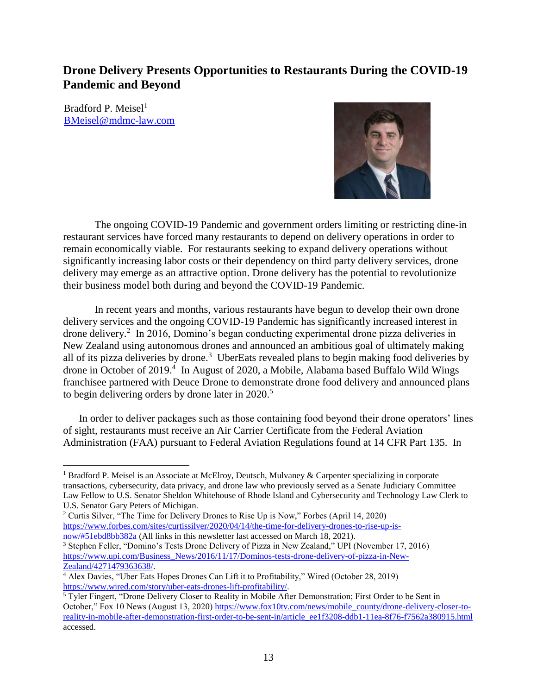## **Drone Delivery Presents Opportunities to Restaurants During the COVID-19 Pandemic and Beyond**

Bradford P. Meisel $<sup>1</sup>$ </sup> [BMeisel@mdmc-law.com](mailto:BMeisel@mdmc-law.com)



The ongoing COVID-19 Pandemic and government orders limiting or restricting dine-in restaurant services have forced many restaurants to depend on delivery operations in order to remain economically viable. For restaurants seeking to expand delivery operations without significantly increasing labor costs or their dependency on third party delivery services, drone delivery may emerge as an attractive option. Drone delivery has the potential to revolutionize their business model both during and beyond the COVID-19 Pandemic.

In recent years and months, various restaurants have begun to develop their own drone delivery services and the ongoing COVID-19 Pandemic has significantly increased interest in drone delivery.<sup>2</sup> In 2016, Domino's began conducting experimental drone pizza deliveries in New Zealand using autonomous drones and announced an ambitious goal of ultimately making all of its pizza deliveries by drone.<sup>3</sup> UberEats revealed plans to begin making food deliveries by drone in October of 2019.<sup>4</sup> In August of 2020, a Mobile, Alabama based Buffalo Wild Wings franchisee partnered with Deuce Drone to demonstrate drone food delivery and announced plans to begin delivering orders by drone later in  $2020$ .<sup>5</sup>

In order to deliver packages such as those containing food beyond their drone operators' lines of sight, restaurants must receive an Air Carrier Certificate from the Federal Aviation Administration (FAA) pursuant to Federal Aviation Regulations found at 14 CFR Part 135. In

 $\overline{a}$ <sup>1</sup> Bradford P. Meisel is an Associate at McElroy, Deutsch, Mulvaney & Carpenter specializing in corporate transactions, cybersecurity, data privacy, and drone law who previously served as a Senate Judiciary Committee Law Fellow to U.S. Senator Sheldon Whitehouse of Rhode Island and Cybersecurity and Technology Law Clerk to U.S. Senator Gary Peters of Michigan.

<sup>2</sup> Curtis Silver, "The Time for Delivery Drones to Rise Up is Now," Forbes (April 14, 2020) [https://www.forbes.com/sites/curtissilver/2020/04/14/the-time-for-delivery-drones-to-rise-up-is](https://www.forbes.com/sites/curtissilver/2020/04/14/the-time-for-delivery-drones-to-rise-up-is-now/#51ebd8bb382a)[now/#51ebd8bb382a](https://www.forbes.com/sites/curtissilver/2020/04/14/the-time-for-delivery-drones-to-rise-up-is-now/#51ebd8bb382a) (All links in this newsletter last accessed on March 18, 2021).

<sup>3</sup> Stephen Feller, "Domino's Tests Drone Delivery of Pizza in New Zealand," UPI (November 17, 2016) [https://www.upi.com/Business\\_News/2016/11/17/Dominos-tests-drone-delivery-of-pizza-in-New-](https://www.upi.com/Business_News/2016/11/17/Dominos-tests-drone-delivery-of-pizza-in-New-Zealand/4271479363638/)[Zealand/4271479363638/.](https://www.upi.com/Business_News/2016/11/17/Dominos-tests-drone-delivery-of-pizza-in-New-Zealand/4271479363638/)

<sup>&</sup>lt;sup>4</sup> Alex Davies, "Uber Eats Hopes Drones Can Lift it to Profitability," Wired (October 28, 2019) [https://www.wired.com/story/uber-eats-drones-lift-profitability/.](https://www.wired.com/story/uber-eats-drones-lift-profitability/) 

<sup>5</sup> Tyler Fingert, "Drone Delivery Closer to Reality in Mobile After Demonstration; First Order to be Sent in October," Fox 10 News (August 13, 2020) [https://www.fox10tv.com/news/mobile\\_county/drone-delivery-closer-to](https://www.fox10tv.com/news/mobile_county/drone-delivery-closer-to-reality-in-mobile-after-demonstration-first-order-to-be-sent-in/article_ee1f3208-ddb1-11ea-8f76-f7562a380915.html)[reality-in-mobile-after-demonstration-first-order-to-be-sent-in/article\\_ee1f3208-ddb1-11ea-8f76-f7562a380915.html](https://www.fox10tv.com/news/mobile_county/drone-delivery-closer-to-reality-in-mobile-after-demonstration-first-order-to-be-sent-in/article_ee1f3208-ddb1-11ea-8f76-f7562a380915.html) accessed.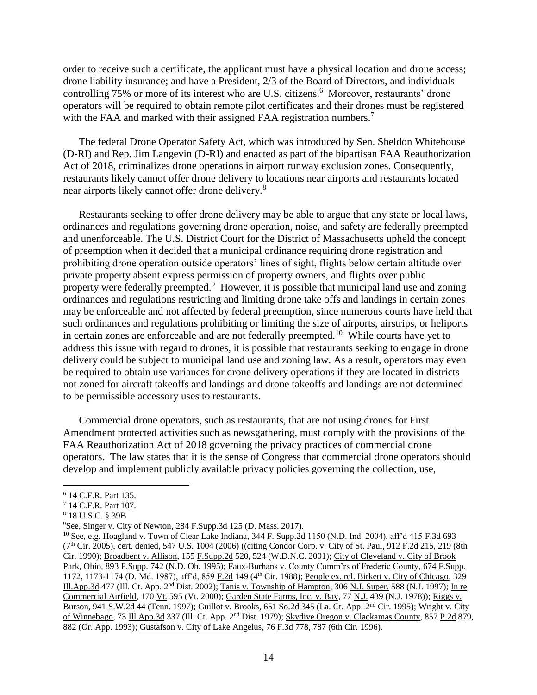order to receive such a certificate, the applicant must have a physical location and drone access; drone liability insurance; and have a President, 2/3 of the Board of Directors, and individuals controlling 75% or more of its interest who are U.S. citizens.<sup>6</sup> Moreover, restaurants' drone operators will be required to obtain remote pilot certificates and their drones must be registered with the FAA and marked with their assigned FAA registration numbers.<sup>7</sup>

The federal Drone Operator Safety Act, which was introduced by Sen. Sheldon Whitehouse (D-RI) and Rep. Jim Langevin (D-RI) and enacted as part of the bipartisan FAA Reauthorization Act of 2018, criminalizes drone operations in airport runway exclusion zones. Consequently, restaurants likely cannot offer drone delivery to locations near airports and restaurants located near airports likely cannot offer drone delivery.<sup>8</sup>

Restaurants seeking to offer drone delivery may be able to argue that any state or local laws, ordinances and regulations governing drone operation, noise, and safety are federally preempted and unenforceable. The U.S. District Court for the District of Massachusetts upheld the concept of preemption when it decided that a municipal ordinance requiring drone registration and prohibiting drone operation outside operators' lines of sight, flights below certain altitude over private property absent express permission of property owners, and flights over public property were federally preempted.<sup>9</sup> However, it is possible that municipal land use and zoning ordinances and regulations restricting and limiting drone take offs and landings in certain zones may be enforceable and not affected by federal preemption, since numerous courts have held that such ordinances and regulations prohibiting or limiting the size of airports, airstrips, or heliports in certain zones are enforceable and are not federally preempted.<sup>10</sup> While courts have yet to address this issue with regard to drones, it is possible that restaurants seeking to engage in drone delivery could be subject to municipal land use and zoning law. As a result, operators may even be required to obtain use variances for drone delivery operations if they are located in districts not zoned for aircraft takeoffs and landings and drone takeoffs and landings are not determined to be permissible accessory uses to restaurants.

Commercial drone operators, such as restaurants, that are not using drones for First Amendment protected activities such as newsgathering, must comply with the provisions of the FAA Reauthorization Act of 2018 governing the privacy practices of commercial drone operators. The law states that it is the sense of Congress that commercial drone operators should develop and implement publicly available privacy policies governing the collection, use,

 $\overline{a}$ 

<sup>6</sup> 14 C.F.R. Part 135.

<sup>7</sup> 14 C.F.R. Part 107.

<sup>8</sup> 18 U.S.C. § 39B

<sup>9</sup>See, Singer v. City of Newton, 284 F.Supp.3d 125 (D. Mass. 2017).

<sup>&</sup>lt;sup>10</sup> See, e.g. Hoagland v. Town of Clear Lake Indiana, 344 F. Supp.2d 1150 (N.D. Ind. 2004), aff'd 415 F.3d 693 (7<sup>th</sup> Cir. 2005), cert. denied, 547 U.S. 1004 (2006) ((citing Condor Corp. v. City of St. Paul, 912 F.2d 215, 219 (8th Cir. 1990); Broadbent v. Allison, 155 F.Supp.2d 520, 524 (W.D.N.C. 2001); City of Cleveland v. City of Brook Park, Ohio, 893 F.Supp. 742 (N.D. Oh. 1995); Faux-Burhans v. County Comm'rs of Frederic County, 674 F.Supp. 1172, 1173-1174 (D. Md. 1987), aff'd, 859 F.2d 149 (4th Cir. 1988); People ex. rel. Birkett v. City of Chicago, 329 Ill.App.3d 477 (Ill. Ct. App. 2nd Dist. 2002); Tanis v. Township of Hampton, 306 N.J. Super. 588 (N.J. 1997); In re Commercial Airfield, 170 Vt. 595 (Vt. 2000); Garden State Farms, Inc. v. Bay, 77 N.J. 439 (N.J. 1978)); Riggs v. Burson, 941 S.W.2d 44 (Tenn. 1997); Guillot v. Brooks, 651 So.2d 345 (La. Ct. App. 2nd Cir. 1995); Wright v. City of Winnebago, 73 Ill.App.3d 337 (Ill. Ct. App. 2<sup>nd</sup> Dist. 1979); Skydive Oregon v. Clackamas County, 857 P.2d 879, 882 (Or. App. 1993); Gustafson v. City of Lake Angelus, 76 F.3d 778, 787 (6th Cir. 1996).